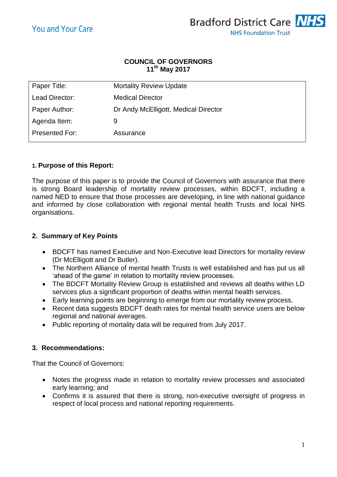

#### **COUNCIL OF GOVERNORS 11 th May 2017**

| Paper Title:   | <b>Mortality Review Update</b>       |
|----------------|--------------------------------------|
| Lead Director: | <b>Medical Director</b>              |
| Paper Author:  | Dr Andy McElligott, Medical Director |
| Agenda Item:   | 9                                    |
| Presented For: | Assurance                            |

# **1. Purpose of this Report:**

The purpose of this paper is to provide the Council of Governors with assurance that there is strong Board leadership of mortality review processes, within BDCFT, including a named NED to ensure that those processes are developing, in line with national guidance and informed by close collaboration with regional mental health Trusts and local NHS organisations.

# **2. Summary of Key Points**

- BDCFT has named Executive and Non-Executive lead Directors for mortality review (Dr McElligott and Dr Butler).
- The Northern Alliance of mental health Trusts is well established and has put us all 'ahead of the game' in relation to mortality review processes.
- The BDCFT Mortality Review Group is established and reviews all deaths within LD services plus a significant proportion of deaths within mental health services.
- Early learning points are beginning to emerge from our mortality review process.
- Recent data suggests BDCFT death rates for mental health service users are below regional and national averages.
- Public reporting of mortality data will be required from July 2017.

## **3. Recommendations:**

That the Council of Governors:

- Notes the progress made in relation to mortality review processes and associated early learning; and
- Confirms it is assured that there is strong, non-executive oversight of progress in respect of local process and national reporting requirements.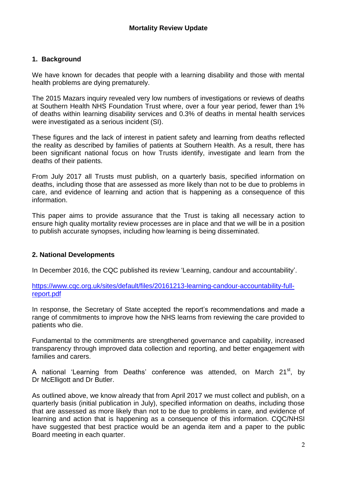## **1. Background**

We have known for decades that people with a learning disability and those with mental health problems are dying prematurely.

The 2015 Mazars inquiry revealed very low numbers of investigations or reviews of deaths at Southern Health NHS Foundation Trust where, over a four year period, fewer than 1% of deaths within learning disability services and 0.3% of deaths in mental health services were investigated as a serious incident (SI).

These figures and the lack of interest in patient safety and learning from deaths reflected the reality as described by families of patients at Southern Health. As a result, there has been significant national focus on how Trusts identify, investigate and learn from the deaths of their patients.

From July 2017 all Trusts must publish, on a quarterly basis, specified information on deaths, including those that are assessed as more likely than not to be due to problems in care, and evidence of learning and action that is happening as a consequence of this information.

This paper aims to provide assurance that the Trust is taking all necessary action to ensure high quality mortality review processes are in place and that we will be in a position to publish accurate synopses, including how learning is being disseminated.

## **2. National Developments**

In December 2016, the CQC published its review 'Learning, candour and accountability'.

[https://www.cqc.org.uk/sites/default/files/20161213-learning-candour-accountability-full](https://www.cqc.org.uk/sites/default/files/20161213-learning-candour-accountability-full-report.pdf)[report.pdf](https://www.cqc.org.uk/sites/default/files/20161213-learning-candour-accountability-full-report.pdf)

In response, the Secretary of State accepted the report's recommendations and made a range of commitments to improve how the NHS learns from reviewing the care provided to patients who die.

Fundamental to the commitments are strengthened governance and capability, increased transparency through improved data collection and reporting, and better engagement with families and carers.

A national 'Learning from Deaths' conference was attended, on March 21<sup>st</sup>, by Dr McElligott and Dr Butler.

As outlined above, we know already that from April 2017 we must collect and publish, on a quarterly basis (initial publication in July), specified information on deaths, including those that are assessed as more likely than not to be due to problems in care, and evidence of learning and action that is happening as a consequence of this information. CQC/NHSI have suggested that best practice would be an agenda item and a paper to the public Board meeting in each quarter.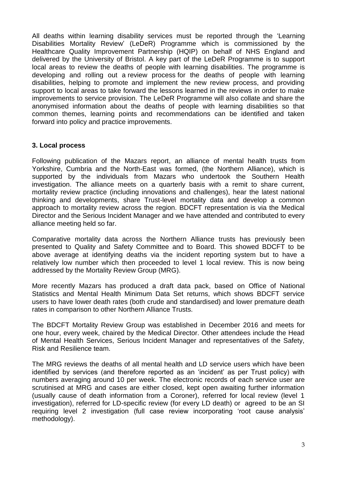All deaths within learning disability services must be reported through the 'Learning Disabilities Mortality Review' (LeDeR) Programme which is commissioned by the Healthcare Quality Improvement Partnership (HQIP) on behalf of NHS England and delivered by the University of Bristol. A key part of the LeDeR Programme is to support local areas to review the deaths of people with learning disabilities. The programme is developing and rolling out a review process for the deaths of people with learning disabilities, helping to promote and implement the new review process, and providing support to local areas to take forward the lessons learned in the reviews in order to make improvements to service provision. The LeDeR Programme will also collate and share the anonymised information about the deaths of people with learning disabilities so that common themes, learning points and recommendations can be identified and taken forward into policy and practice improvements.

#### **3. Local process**

Following publication of the Mazars report, an alliance of mental health trusts from Yorkshire, Cumbria and the North-East was formed, (the Northern Alliance), which is supported by the individuals from Mazars who undertook the Southern Health investigation. The alliance meets on a quarterly basis with a remit to share current, mortality review practice (including innovations and challenges), hear the latest national thinking and developments, share Trust-level mortality data and develop a common approach to mortality review across the region. BDCFT representation is via the Medical Director and the Serious Incident Manager and we have attended and contributed to every alliance meeting held so far.

Comparative mortality data across the Northern Alliance trusts has previously been presented to Quality and Safety Committee and to Board. This showed BDCFT to be above average at identifying deaths via the incident reporting system but to have a relatively low number which then proceeded to level 1 local review. This is now being addressed by the Mortality Review Group (MRG).

More recently Mazars has produced a draft data pack, based on Office of National Statistics and Mental Health Minimum Data Set returns, which shows BDCFT service users to have lower death rates (both crude and standardised) and lower premature death rates in comparison to other Northern Alliance Trusts.

The BDCFT Mortality Review Group was established in December 2016 and meets for one hour, every week, chaired by the Medical Director. Other attendees include the Head of Mental Health Services, Serious Incident Manager and representatives of the Safety, Risk and Resilience team.

The MRG reviews the deaths of all mental health and LD service users which have been identified by services (and therefore reported as an 'incident' as per Trust policy) with numbers averaging around 10 per week. The electronic records of each service user are scrutinised at MRG and cases are either closed, kept open awaiting further information (usually cause of death information from a Coroner), referred for local review (level 1 investigation), referred for LD-specific review (for every LD death) or agreed to be an SI requiring level 2 investigation (full case review incorporating 'root cause analysis' methodology).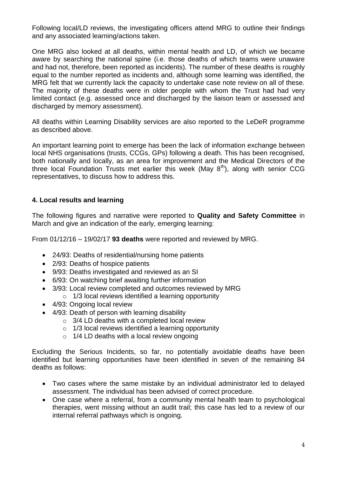Following local/LD reviews, the investigating officers attend MRG to outline their findings and any associated learning/actions taken.

One MRG also looked at all deaths, within mental health and LD, of which we became aware by searching the national spine (i.e. those deaths of which teams were unaware and had not, therefore, been reported as incidents). The number of these deaths is roughly equal to the number reported as incidents and, although some learning was identified, the MRG felt that we currently lack the capacity to undertake case note review on all of these. The majority of these deaths were in older people with whom the Trust had had very limited contact (e.g. assessed once and discharged by the liaison team or assessed and discharged by memory assessment).

All deaths within Learning Disability services are also reported to the LeDeR programme as described above.

An important learning point to emerge has been the lack of information exchange between local NHS organisations (trusts, CCGs, GPs) following a death. This has been recognised, both nationally and locally, as an area for improvement and the Medical Directors of the three local Foundation Trusts met earlier this week (May  $8<sup>th</sup>$ ), along with senior CCG representatives, to discuss how to address this.

## **4. Local results and learning**

The following figures and narrative were reported to **Quality and Safety Committee** in March and give an indication of the early, emerging learning:

From 01/12/16 – 19/02/17 **93 deaths** were reported and reviewed by MRG.

- 24/93: Deaths of residential/nursing home patients
- 2/93: Deaths of hospice patients
- 9/93: Deaths investigated and reviewed as an SI
- 6/93: On watching brief awaiting further information
- 3/93: Local review completed and outcomes reviewed by MRG  $\circ$  1/3 local reviews identified a learning opportunity
- 4/93: Ongoing local review
- 4/93: Death of person with learning disability
	- $\circ$  3/4 LD deaths with a completed local review
	- $\circ$  1/3 local reviews identified a learning opportunity
	- $\circ$  1/4 LD deaths with a local review ongoing

Excluding the Serious Incidents, so far, no potentially avoidable deaths have been identified but learning opportunities have been identified in seven of the remaining 84 deaths as follows:

- Two cases where the same mistake by an individual administrator led to delayed assessment. The individual has been advised of correct procedure.
- One case where a referral, from a community mental health team to psychological therapies, went missing without an audit trail; this case has led to a review of our internal referral pathways which is ongoing.